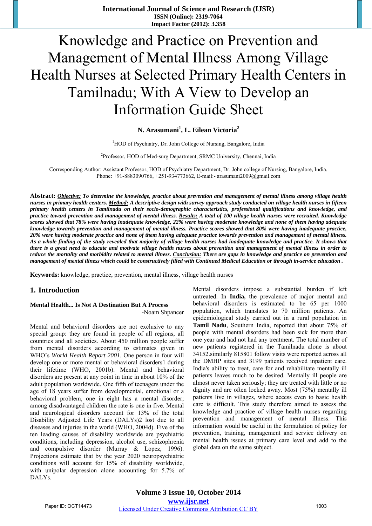# Knowledge and Practice on Prevention and Management of Mental Illness Among Village Health Nurses at Selected Primary Health Centers in Tamilnadu; With A View to Develop an Information Guide Sheet

**N. Arasumani<sup>1</sup> , L. Eilean Victoria2**

<sup>1</sup>HOD of Psychiatry, Dr. John College of Nursing, Bangalore, India

<sup>2</sup>Professor, HOD of Med-surg Department, SRMC University, Chennai, India

Corresponding Author: Assistant Professor, HOD of Psychiatry Department, Dr. John college of Nursing, Bangalore, India. Phone: +91-8883090766, +251-934773662, E-mail:- arasumani2009@gmail.com

**Abstract:** *Objective: To determine the knowledge, practice about prevention and management of mental illness among village health nurses in primary health centers. Method: A descriptive design with survey approach study conducted on village health nurses in fifteen primary health centers in Tamilnadu on their socio-demographic characteristics, professional qualifications and knowledge, and practice toward prevention and management of mental illness. Results: A total of 100 village health nurses were recruited. Knowledge scores showed that 78% were having inadequate knowledge, 22% were having moderate knowledge and none of them having adequate knowledge towards prevention and management of mental illness. Practice scores showed that 80% were having inadequate practice, 20% were having moderate practice and none of them having adequate practice towards prevention and management of mental illness. As a whole finding of the study revealed that majority of village health nurses had inadequate knowledge and practice. It shows that there is a great need to educate and motivate village health nurses about prevention and management of mental illness in order to reduce the mortality and morbidity related to mental illness. Conclusion: There are gaps in knowledge and practice on prevention and management of mental illness which could be constructively filled with Continued Medical Education or through in-service education .* 

**Keywords:** knowledge, practice, prevention, mental illness, village health nurses

#### **1. Introduction**

#### **Mental Health... Is Not A Destination But A Process**  -Noam Shpancer

Mental and behavioral disorders are not exclusive to any special group: they are found in people of all regions, all countries and all societies. About 450 million people suffer from mental disorders according to estimates given in WHO's *World Health Report 2001*. One person in four will develop one or more mental or behavioral disorders1 during their lifetime (WHO, 2001b). Mental and behavioral disorders are present at any point in time in about 10% of the adult population worldwide. One fifth of teenagers under the age of 18 years suffer from developmental, emotional or a behavioral problem, one in eight has a mental disorder; among disadvantaged children the rate is one in five. Mental and neurological disorders account for 13% of the total Disability Adjusted Life Years (DALYs)2 lost due to all diseases and injuries in the world (WHO, 2004d). Five of the ten leading causes of disability worldwide are psychiatric conditions, including depression, alcohol use, schizophrenia and compulsive disorder (Murray & Lopez, 1996). Projections estimate that by the year 2020 neuropsychiatric conditions will account for 15% of disability worldwide, with unipolar depression alone accounting for 5.7% of DALYs.

Mental disorders impose a substantial burden if left untreated. In **India,** the prevalence of major mental and behavioral disorders is estimated to be 65 per 1000 population, which translates to 70 million patients. An epidemiological study carried out in a rural population in **Tamil Nadu**, Southern India, reported that about 75% of people with mental disorders had been sick for more than one year and had not had any treatment. The total number of new patients registered in the Tamilnadu alone is about 34152.similarly 815801 follow visits were reported across all the DMHP sites and 3199 patients received inpatient care. India's ability to treat, care for and rehabilitate mentally ill patients leaves much to be desired. Mentally ill people are almost never taken seriously; they are treated with little or no dignity and are often locked away. Most (75%) mentally ill patients live in villages, where access even to basic health care is difficult. This study therefore aimed to assess the knowledge and practice of village health nurses regarding prevention and management of mental illness. This information would be useful in the formulation of policy for prevention, training, management and service delivery on mental health issues at primary care level and add to the global data on the same subject.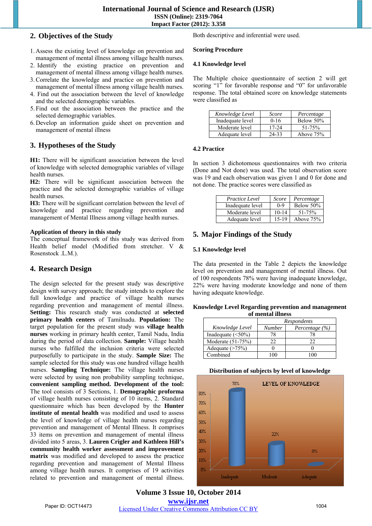## **2. Objectives of the Study**

- 1. Assess the existing level of knowledge on prevention and management of mental illness among village health nurses.
- 2. Identify the existing practice on prevention and management of mental illness among village health nurses.
- 3.Correlate the knowledge and practice on prevention and management of mental illness among village health nurses.
- 4. Find out the association between the level of knowledge and the selected demographic variables.
- 5. Find out the association between the practice and the selected demographic variables.
- 6. Develop an information guide sheet on prevention and management of mental illness

### **3. Hypotheses of the Study**

**H1:** There will be significant association between the level of knowledge with selected demographic variables of village health nurses.

**H2:** There will be significant association between the practice and the selected demographic variables of village health nurses.

**H3:** There will be significant correlation between the level of knowledge and practice regarding prevention and management of Mental Illness among village health nurses.

#### **Application of theory in this study**

The conceptual framework of this study was derived from Health belief model (Modified from stretcher. V & Rosenstock .L.M.).

## **4. Research Design**

The design selected for the present study was descriptive design with survey approach; the study intends to explore the full knowledge and practice of village health nurses regarding prevention and management of mental illness. **Setting:** This research study was conducted at **selected primary health centers** of Tamilnadu. **Population:** The target population for the present study was **village health nurses** working in primary health center, Tamil Nadu, India during the period of data collection. **Sample:** Village health nurses who fulfilled the inclusion criteria were selected purposefully to participate in the study. **Sample Size:** The sample selected for this study was one hundred village health nurses. **Sampling Technique:** The village health nurses were selected by using non probability sampling technique, **convenient sampling method. Development of the tool:**  The tool consists of 3 Sections, 1. **Demographic proforma** of village health nurses consisting of 10 items, 2. Standard questionnaire which has been developed by the **Hunter institute of mental health** was modified and used to assess the level of knowledge of village health nurses regarding prevention and management of Mental Illness. It comprises 33 items on prevention and management of mental illness divided into 5 areas, 3. **Lauren Crigler and Kathleen Hill's community health worker assessment and improvement matrix** was modified and developed to assess the practice regarding prevention and management of Mental Illness among village health nurses. It comprises of 19 activities related to prevention and management of mental illness.

Both descriptive and inferential were used.

#### **Scoring Procedure**

#### **4.1 Knowledge level**

The Multiple choice questionnaire of section 2 will get scoring "1" for favorable response and "0" for unfavorable response. The total obtained score on knowledge statements were classified as

| Knowledge Level  | Score     | Percentage  |
|------------------|-----------|-------------|
| Inadequate level | $0 - 16$  | Below 50%   |
| Moderate level   | $17 - 24$ | $51 - 75%$  |
| Adequate level   | $24 - 33$ | Above $75%$ |

#### **4.2 Practice**

In section 3 dichotomous questionnaires with two criteria (Done and Not done) was used. The total observation score was 19 and each observation was given 1 and 0 for done and not done. The practice scores were classified as

| Practice Level   | Score     | Percentage  |
|------------------|-----------|-------------|
| Inadequate level | $0 - 9$   | Below 50%   |
| Moderate level   | $10 - 14$ | $51 - 75%$  |
| Adequate level   | 15-19     | Above $75%$ |

## **5. Major Findings of the Study**

#### **5.1 Knowledge level**

The data presented in the Table 2 depicts the knowledge level on prevention and management of mental illness. Out of 100 respondents 78% were having inadequate knowledge, 22% were having moderate knowledge and none of them having adequate knowledge.

#### **Knowledge Level Regarding prevention and management of mental illness**

|                          | Respondents   |                    |
|--------------------------|---------------|--------------------|
| Knowledge Level          | <b>Number</b> | Percentage $(\% )$ |
| Inadequate $(\leq 50\%)$ | 78            | 78                 |
| Moderate $(51-75%)$      | つつ            | フフ                 |
| Adequate $($ >75%)       |               |                    |
| Combined                 |               |                    |

#### **Distribution of subjects by level of knowledge**



**Volume 3 Issue 10, October 2014 www.ijsr.net** Paper ID: OCT14473 Licensed Under Creative Commons Attribution CC BY 1004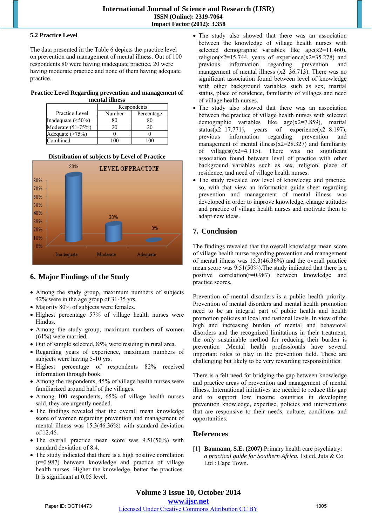#### **5.2 Practice Level**

The data presented in the Table 6 depicts the practice level on prevention and management of mental illness. Out of 100 respondents 80 were having inadequate practice, 20 were having moderate practice and none of them having adequate practice.

## **Practice Level Regarding prevention and management of**

| mental illness           |             |            |  |
|--------------------------|-------------|------------|--|
|                          | Respondents |            |  |
| Practice Level           | Number      | Percentage |  |
| Inadequate $(\leq 50\%)$ | 80          |            |  |
| Moderate (51-75%)        | 20          | 20         |  |
| Adequate (>75%)          |             |            |  |
| Combined                 |             |            |  |

#### **Distribution of subjects by Level of Practice**



## **6. Major Findings of the Study**

- Among the study group, maximum numbers of subjects 42% were in the age group of 31-35 yrs.
- Majority 80% of subjects were females.
- Highest percentage 57% of village health nurses were Hindus.
- Among the study group, maximum numbers of women (61%) were married.
- Out of sample selected, 85% were residing in rural area.
- Regarding years of experience, maximum numbers of subjects were having 5-10 yrs.
- Highest percentage of respondents 82% received information through book.
- Among the respondents, 45% of village health nurses were familiarized around half of the villages.
- Among 100 respondents, 65% of village health nurses said, they are urgently needed.
- The findings revealed that the overall mean knowledge score of women regarding prevention and management of mental illness was 15.3(46.36%) with standard deviation of 12.46.
- The overall practice mean score was 9.51(50%) with standard deviation of 8.4.
- The study indicated that there is a high positive correlation (r=0.987) between knowledge and practice of village health nurses. Higher the knowledge, better the practices. It is significant at 0.05 level.
- The study also showed that there was an association between the knowledge of village health nurses with selected demographic variables like  $age(x2=11.460)$ , religion( $x2=15.744$ , years of experience( $x2=35.278$ ) and previous information regarding prevention and management of mental illness (x2=36.713). There was no significant association found between level of knowledge with other background variables such as sex, marital status, place of residence, familiarity of villages and need of village health nurses.
- The study also showed that there was an association between the practice of village health nurses with selected demographic variables like age(x2=7.859), marital status(x2=17.771), years of experience(x2=8.197), previous information regarding prevention and management of mental illness( $x2=28.327$ ) and familiarity of villages( $(x2=4.115)$ . There was no significant association found between level of practice with other background variables such as sex, religion, place of residence, and need of village health nurses.
- The study revealed low level of knowledge and practice. so, with that view an information guide sheet regarding prevention and management of mental illness was developed in order to improve knowledge, change attitudes and practice of village health nurses and motivate them to adapt new ideas.

## **7. Conclusion**

The findings revealed that the overall knowledge mean score of village health nurse regarding prevention and management of mental illness was 15.3(46.36%) and the overall practice mean score was 9.51(50%).The study indicated that there is a positive correlation(r=0.987) between knowledge and practice scores.

Prevention of mental disorders is a public health priority. Prevention of mental disorders and mental health promotion need to be an integral part of public health and health promotion policies at local and national levels. In view of the high and increasing burden of mental and behavioral disorders and the recognized limitations in their treatment, the only sustainable method for reducing their burden is prevention .Mental health professionals have several important roles to play in the prevention field. These are challenging but likely to be very rewarding responsibilities.

There is a felt need for bridging the gap between knowledge and practice areas of prevention and management of mental illness. International initiatives are needed to reduce this gap and to support low income countries in developing prevention knowledge, expertise, policies and interventions that are responsive to their needs, culture, conditions and opportunities.

## **References**

[1] **Baumann, S.E. (2007)**.Primary health care psychiatry: *a practical guide for Southern Africa.* 1st ed. Juta & Co Ltd : Cape Town.